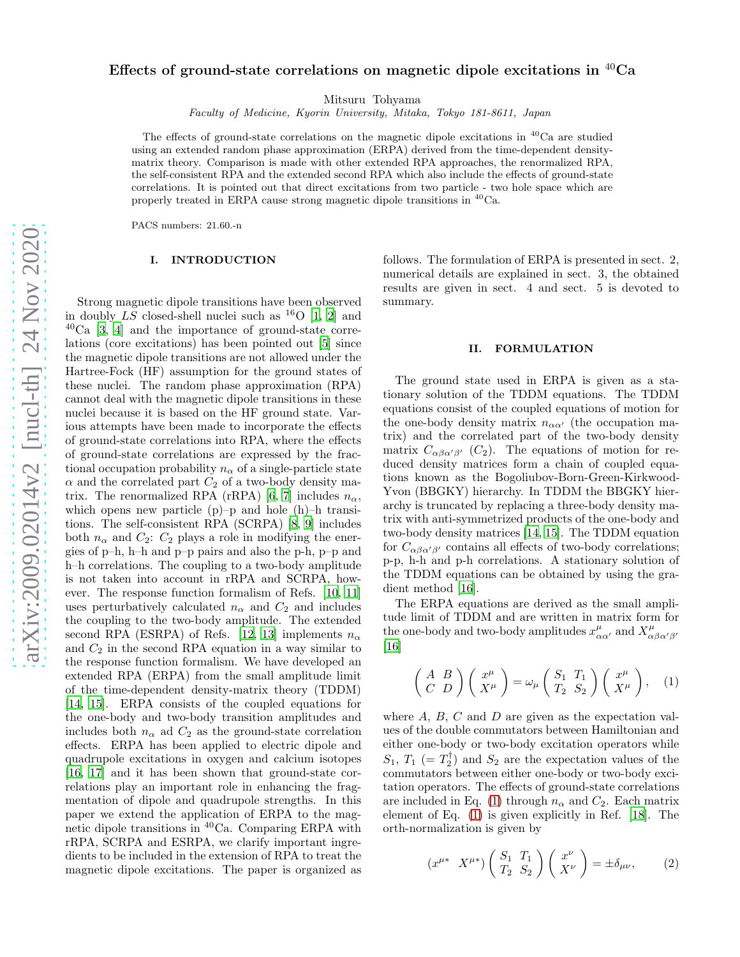# Effects of ground-state correlations on magnetic dipole excitations in <sup>40</sup>Ca

Mitsuru Tohyama

Faculty of Medicine, Kyorin University, Mitaka, Tokyo 181-8611, Japan

The effects of ground-state correlations on the magnetic dipole excitations in  ${}^{40}$ Ca are studied using an extended random phase approximation (ERPA) derived from the time-dependent densitymatrix theory. Comparison is made with other extended RPA approaches, the renormalized RPA, the self-consistent RPA and the extended second RPA which also include the effects of ground-state correlations. It is pointed out that direct excitations from two particle - two hole space which are properly treated in ERPA cause strong magnetic dipole transitions in <sup>40</sup>Ca.

PACS numbers: 21.60.-n

## I. INTRODUCTION

Strong magnetic dipole transitions have been observed in doubly  $\overline{LS}$  closed-shell nuclei such as <sup>16</sup>O [\[1](#page-4-0), [2](#page-4-1)] and  $^{40}$ Ca [\[3](#page-4-2), [4\]](#page-4-3) and the importance of ground-state correlations (core excitations) has been pointed out [\[5](#page-4-4)] since the magnetic dipole transitions are not allowed under the Hartree-Fock (HF) assumption for the ground states of these nuclei. The random phase approximation (RPA) cannot deal with the magnetic dipole transitions in these nuclei because it is based on the HF ground state. Various attempts have been made to incorporate the effects of ground-state correlations into RPA, where the effects of ground-state correlations are expressed by the fractional occupation probability  $n_{\alpha}$  of a single-particle state  $\alpha$  and the correlated part  $C_2$  of a two-body density ma-trix. The renormalized RPA (rRPA) [\[6,](#page-4-5) [7](#page-4-6)] includes  $n_{\alpha}$ , which opens new particle  $(p)-p$  and hole  $(h)-h$  transitions. The self-consistent RPA (SCRPA) [\[8](#page-4-7), [9\]](#page-4-8) includes both  $n_{\alpha}$  and  $C_2$ :  $C_2$  plays a role in modifying the energies of p–h, h–h and p–p pairs and also the p-h, p–p and h–h correlations. The coupling to a two-body amplitude is not taken into account in rRPA and SCRPA, however. The response function formalism of Refs. [\[10,](#page-4-9) [11](#page-4-10)] uses perturbatively calculated  $n_{\alpha}$  and  $C_2$  and includes the coupling to the two-body amplitude. The extended second RPA (ESRPA) of Refs. [\[12,](#page-4-11) [13\]](#page-4-12) implements  $n_{\alpha}$ and  $C_2$  in the second RPA equation in a way similar to the response function formalism. We have developed an extended RPA (ERPA) from the small amplitude limit of the time-dependent density-matrix theory (TDDM) [\[14,](#page-4-13) [15\]](#page-4-14). ERPA consists of the coupled equations for the one-body and two-body transition amplitudes and includes both  $n_{\alpha}$  ad  $C_2$  as the ground-state correlation effects. ERPA has been applied to electric dipole and quadrupole excitations in oxygen and calcium isotopes [\[16,](#page-4-15) [17](#page-4-16)] and it has been shown that ground-state correlations play an important role in enhancing the fragmentation of dipole and quadrupole strengths. In this paper we extend the application of ERPA to the magnetic dipole transitions in <sup>40</sup>Ca. Comparing ERPA with rRPA, SCRPA and ESRPA, we clarify important ingredients to be included in the extension of RPA to treat the magnetic dipole excitations. The paper is organized as

follows. The formulation of ERPA is presented in sect. 2, numerical details are explained in sect. 3, the obtained results are given in sect. 4 and sect. 5 is devoted to summary.

#### II. FORMULATION

The ground state used in ERPA is given as a stationary solution of the TDDM equations. The TDDM equations consist of the coupled equations of motion for the one-body density matrix  $n_{\alpha\alpha'}$  (the occupation matrix) and the correlated part of the two-body density matrix  $C_{\alpha\beta\alpha'\beta'}$  (C<sub>2</sub>). The equations of motion for reduced density matrices form a chain of coupled equations known as the Bogoliubov-Born-Green-Kirkwood-Yvon (BBGKY) hierarchy. In TDDM the BBGKY hierarchy is truncated by replacing a three-body density matrix with anti-symmetrized products of the one-body and two-body density matrices [\[14,](#page-4-13) [15](#page-4-14)]. The TDDM equation for  $C_{\alpha\beta\alpha'\beta'}$  contains all effects of two-body correlations; p-p, h-h and p-h correlations. A stationary solution of the TDDM equations can be obtained by using the gradient method [\[16](#page-4-15)].

The ERPA equations are derived as the small amplitude limit of TDDM and are written in matrix form for the one-body and two-body amplitudes  $x^{\mu}_{\alpha\alpha'}$  and  $X^{\mu}_{\alpha\beta\alpha'\beta'}$ [\[16\]](#page-4-15)

<span id="page-0-0"></span>
$$
\begin{pmatrix}\nA & B \\
C & D\n\end{pmatrix}\n\begin{pmatrix}\nx^{\mu} \\
X^{\mu}\n\end{pmatrix} = \omega_{\mu}\n\begin{pmatrix}\nS_1 & T_1 \\
T_2 & S_2\n\end{pmatrix}\n\begin{pmatrix}\nx^{\mu} \\
X^{\mu}\n\end{pmatrix},\n\quad (1)
$$

where  $A, B, C$  and  $D$  are given as the expectation values of the double commutators between Hamiltonian and either one-body or two-body excitation operators while  $S_1, T_1$  (=  $T_2^{\dagger}$ ) and  $S_2$  are the expectation values of the commutators between either one-body or two-body excitation operators. The effects of ground-state correlations are included in Eq. [\(1\)](#page-0-0) through  $n_{\alpha}$  and  $C_2$ . Each matrix element of Eq. [\(1\)](#page-0-0) is given explicitly in Ref. [\[18](#page-4-17)]. The orth-normalization is given by

<span id="page-0-1"></span>
$$
(x^{\mu*} \quad X^{\mu*}) \begin{pmatrix} S_1 & T_1 \\ T_2 & S_2 \end{pmatrix} \begin{pmatrix} x^{\nu} \\ X^{\nu} \end{pmatrix} = \pm \delta_{\mu\nu}, \tag{2}
$$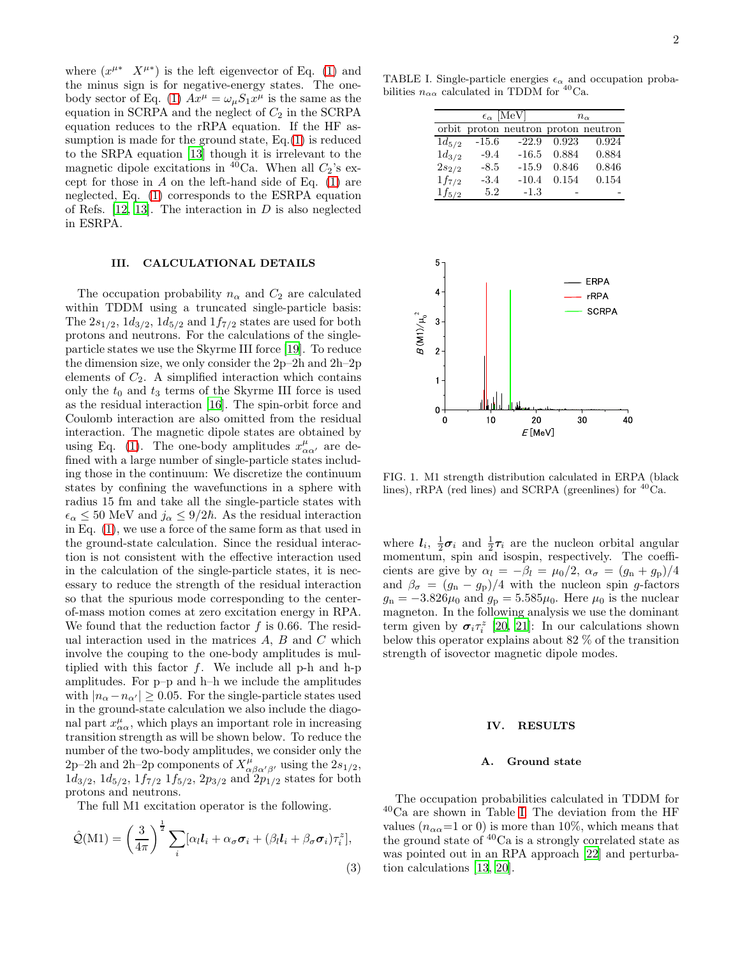where  $(x^{\mu*} \ X^{\mu*})$  is the left eigenvector of Eq. [\(1\)](#page-0-0) and the minus sign is for negative-energy states. The one-body sector of Eq. [\(1\)](#page-0-0)  $Ax^{\mu} = \omega_{\mu} S_1 x^{\mu}$  is the same as the equation in SCRPA and the neglect of  $C_2$  in the SCRPA equation reduces to the rRPA equation. If the HF assumption is made for the ground state, Eq.[\(1\)](#page-0-0) is reduced to the SRPA equation [\[13\]](#page-4-12) though it is irrelevant to the magnetic dipole excitations in  ${}^{40}$ Ca. When all  $C_2$ 's except for those in  $A$  on the left-hand side of Eq.  $(1)$  are neglected, Eq. [\(1\)](#page-0-0) corresponds to the ESRPA equation of Refs. [\[12](#page-4-11), [13\]](#page-4-12). The interaction in  $D$  is also neglected in ESRPA.

## III. CALCULATIONAL DETAILS

The occupation probability  $n_{\alpha}$  and  $C_2$  are calculated within TDDM using a truncated single-particle basis: The  $2s_{1/2}$ ,  $1d_{3/2}$ ,  $1d_{5/2}$  and  $1f_{7/2}$  states are used for both protons and neutrons. For the calculations of the singleparticle states we use the Skyrme III force [\[19\]](#page-4-18). To reduce the dimension size, we only consider the 2p–2h and 2h–2p elements of  $C_2$ . A simplified interaction which contains only the  $t_0$  and  $t_3$  terms of the Skyrme III force is used as the residual interaction [\[16](#page-4-15)]. The spin-orbit force and Coulomb interaction are also omitted from the residual interaction. The magnetic dipole states are obtained by using Eq. [\(1\)](#page-0-0). The one-body amplitudes  $x^{\mu}_{\alpha\alpha'}$  are defined with a large number of single-particle states including those in the continuum: We discretize the continuum states by confining the wavefunctions in a sphere with radius 15 fm and take all the single-particle states with  $\epsilon_{\alpha} \leq 50$  MeV and  $j_{\alpha} \leq 9/2\hbar$ . As the residual interaction in Eq. [\(1\)](#page-0-0), we use a force of the same form as that used in the ground-state calculation. Since the residual interaction is not consistent with the effective interaction used in the calculation of the single-particle states, it is necessary to reduce the strength of the residual interaction so that the spurious mode corresponding to the centerof-mass motion comes at zero excitation energy in RPA. We found that the reduction factor  $f$  is 0.66. The residual interaction used in the matrices  $A, B$  and  $C$  which involve the couping to the one-body amplitudes is multiplied with this factor  $f$ . We include all p-h and h-p amplitudes. For p–p and h–h we include the amplitudes with  $|n_{\alpha}-n_{\alpha'}|\geq 0.05$ . For the single-particle states used in the ground-state calculation we also include the diagonal part  $x^{\mu}_{\alpha\alpha}$ , which plays an important role in increasing transition strength as will be shown below. To reduce the number of the two-body amplitudes, we consider only the 2p–2h and 2h–2p components of  $X^{\mu}_{\alpha\beta\alpha'\beta'}$ , using the  $2s_{1/2}$ ,  $1d_{3/2}$ ,  $1d_{5/2}$ ,  $1f_{7/2}$   $1f_{5/2}$ ,  $2p_{3/2}$  and  $2p_{1/2}$  states for both protons and neutrons.

The full M1 excitation operator is the following.

$$
\hat{\mathcal{Q}}(M1) = \left(\frac{3}{4\pi}\right)^{\frac{1}{2}} \sum_{i} [\alpha_l \mathbf{l}_i + \alpha_\sigma \boldsymbol{\sigma}_i + (\beta_l \mathbf{l}_i + \beta_\sigma \boldsymbol{\sigma}_i) \tau_i^z],
$$
\n(3)

TABLE I. Single-particle energies  $\epsilon_{\alpha}$  and occupation probabilities  $n_{\alpha\alpha}$  calculated in TDDM for <sup>40</sup>Ca.

<span id="page-1-0"></span>

|            | $\epsilon_{\alpha}$ [MeV] |                                     | $n_{\alpha}$ |       |
|------------|---------------------------|-------------------------------------|--------------|-------|
|            |                           | orbit proton neutron proton neutron |              |       |
| $1d_{5/2}$ | $-15.6$                   | $-22.9$                             | 0.923        | 0.924 |
| $1d_{3/2}$ | $-9.4$                    | $-16.5$                             | 0.884        | 0.884 |
| $2s_{2/2}$ | $-8.5$                    | $-15.9$                             | 0.846        | 0.846 |
| $1f_{7/2}$ | $-3.4$                    | $-10.4$                             | 0.154        | 0.154 |
| $1f_{5/2}$ | 5.2                       | $-1.3$                              |              |       |



<span id="page-1-1"></span>FIG. 1. M1 strength distribution calculated in ERPA (black lines), rRPA (red lines) and SCRPA (greenlines) for  ${}^{40}$ Ca.

where  $l_i$ ,  $\frac{1}{2}\sigma_i$  and  $\frac{1}{2}\tau_i$  are the nucleon orbital angular momentum, spin and isospin, respectively. The coefficients are give by  $\alpha_l = -\beta_l = \mu_0/2$ ,  $\alpha_\sigma = (g_n + g_p)/4$ and  $\beta_{\sigma} = (g_n - g_p)/4$  with the nucleon spin g-factors  $g_{\rm n} = -3.826\mu_0$  and  $g_{\rm p} = 5.585\mu_0$ . Here  $\mu_0$  is the nuclear magneton. In the following analysis we use the dominant term given by  $\sigma_i \tau_i^z$  [\[20](#page-4-19), [21\]](#page-4-20): In our calculations shown below this operator explains about 82 % of the transition strength of isovector magnetic dipole modes.

#### IV. RESULTS

## A. Ground state

The occupation probabilities calculated in TDDM for  $^{40}\mathrm{Ca}$  are shown in Table [I.](#page-1-0) The deviation from the HF values ( $n_{\alpha\alpha}$ =1 or 0) is more than 10%, which means that the ground state of  $40Ca$  is a strongly correlated state as was pointed out in an RPA approach [\[22](#page-4-21)] and perturbation calculations [\[13,](#page-4-12) [20\]](#page-4-19).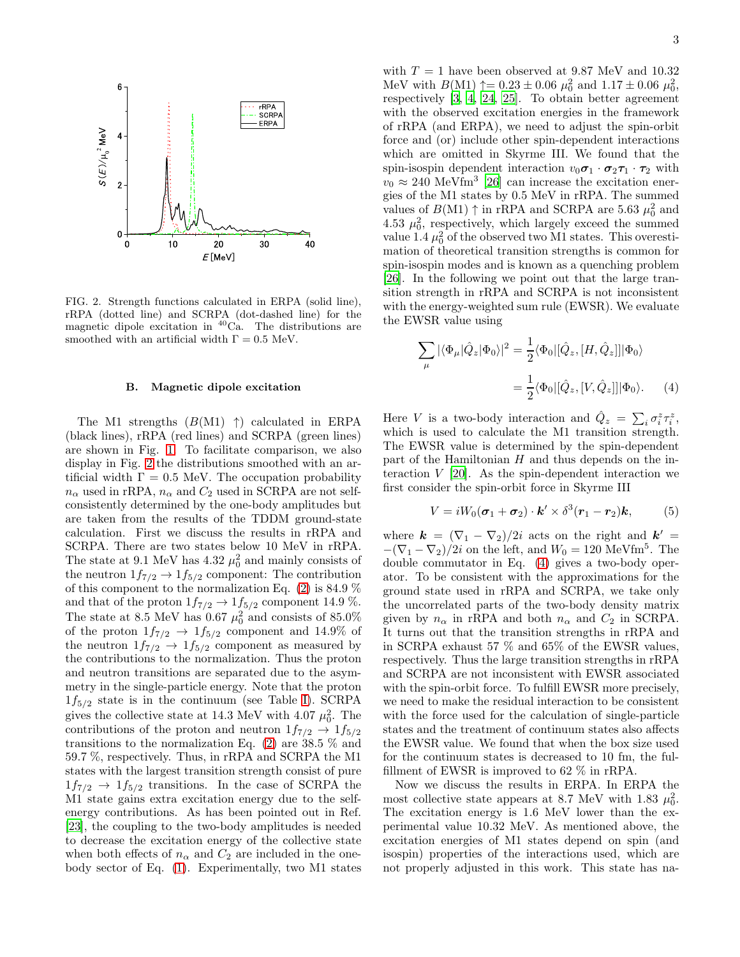

<span id="page-2-0"></span>FIG. 2. Strength functions calculated in ERPA (solid line), rRPA (dotted line) and SCRPA (dot-dashed line) for the magnetic dipole excitation in  ${}^{40}$ Ca. The distributions are smoothed with an artificial width  $\Gamma = 0.5$  MeV.

## B. Magnetic dipole excitation

The M1 strengths  $(B(M1) \t)$  calculated in ERPA (black lines), rRPA (red lines) and SCRPA (green lines) are shown in Fig. [1.](#page-1-1) To facilitate comparison, we also display in Fig. [2](#page-2-0) the distributions smoothed with an artificial width  $\Gamma = 0.5$  MeV. The occupation probability  $n_{\alpha}$  used in rRPA,  $n_{\alpha}$  and  $C_2$  used in SCRPA are not selfconsistently determined by the one-body amplitudes but are taken from the results of the TDDM ground-state calculation. First we discuss the results in rRPA and SCRPA. There are two states below 10 MeV in rRPA. The state at 9.1 MeV has  $4.32 \mu_0^2$  and mainly consists of the neutron  $1f_{7/2} \rightarrow 1f_{5/2}$  component: The contribution of this component to the normalization Eq.  $(2)$  is 84.9 % and that of the proton  $1f_{7/2} \rightarrow 1f_{5/2}$  component 14.9 %. The state at 8.5 MeV has 0.67  $\mu_0^2$  and consists of 85.0% of the proton  $1f_{7/2} \rightarrow 1f_{5/2}$  component and 14.9% of the neutron  $1f_{7/2} \rightarrow 1f_{5/2}$  component as measured by the contributions to the normalization. Thus the proton and neutron transitions are separated due to the asymmetry in the single-particle energy. Note that the proton  $1f_{5/2}$  state is in the continuum (see Table [I\)](#page-1-0). SCRPA gives the collective state at 14.3 MeV with 4.07  $\mu_0^2$ . The contributions of the proton and neutron  $1f_{7/2} \rightarrow 1f_{5/2}$ transitions to the normalization Eq. [\(2\)](#page-0-1) are 38.5 % and 59.7 %, respectively. Thus, in rRPA and SCRPA the M1 states with the largest transition strength consist of pure  $1f_{7/2} \rightarrow 1f_{5/2}$  transitions. In the case of SCRPA the M1 state gains extra excitation energy due to the selfenergy contributions. As has been pointed out in Ref. [\[23\]](#page-4-22), the coupling to the two-body amplitudes is needed to decrease the excitation energy of the collective state when both effects of  $n_{\alpha}$  and  $C_2$  are included in the onebody sector of Eq. [\(1\)](#page-0-0). Experimentally, two M1 states

with  $T = 1$  have been observed at 9.87 MeV and 10.32 MeV with  $B(M1)$   $\uparrow = 0.23 \pm 0.06 \mu_0^2$  and  $1.17 \pm 0.06 \mu_0^2$ , respectively [\[3](#page-4-2), [4](#page-4-3), [24](#page-4-23), [25](#page-4-24)]. To obtain better agreement with the observed excitation energies in the framework of rRPA (and ERPA), we need to adjust the spin-orbit force and (or) include other spin-dependent interactions which are omitted in Skyrme III. We found that the spin-isospin dependent interaction  $v_0 \sigma_1 \cdot \sigma_2 \tau_1 \cdot \tau_2$  with  $v_0 \approx 240$  MeVfm<sup>3</sup> [\[26\]](#page-4-25) can increase the excitation energies of the M1 states by 0.5 MeV in rRPA. The summed values of  $B(M1) \uparrow$  in rRPA and SCRPA are 5.63  $\mu_0^2$  and 4.53  $\mu_0^2$ , respectively, which largely exceed the summed value 1.4  $\mu_0^2$  of the observed two M1 states. This overestimation of theoretical transition strengths is common for spin-isospin modes and is known as a quenching problem [\[26\]](#page-4-25). In the following we point out that the large transition strength in rRPA and SCRPA is not inconsistent with the energy-weighted sum rule (EWSR). We evaluate the EWSR value using

<span id="page-2-1"></span>
$$
\sum_{\mu} |\langle \Phi_{\mu} | \hat{Q}_z | \Phi_0 \rangle|^2 = \frac{1}{2} \langle \Phi_0 | [\hat{Q}_z, [H, \hat{Q}_z]] | \Phi_0 \rangle
$$

$$
= \frac{1}{2} \langle \Phi_0 | [\hat{Q}_z, [V, \hat{Q}_z]] | \Phi_0 \rangle. \tag{4}
$$

Here V is a two-body interaction and  $\hat{Q}_z = \sum_i \sigma_i^z \tau_i^z$ , which is used to calculate the M1 transition strength. The EWSR value is determined by the spin-dependent part of the Hamiltonian  $H$  and thus depends on the interaction  $V$  [\[20\]](#page-4-19). As the spin-dependent interaction we first consider the spin-orbit force in Skyrme III

$$
V = iW_0(\boldsymbol{\sigma}_1 + \boldsymbol{\sigma}_2) \cdot \boldsymbol{k}' \times \delta^3(\boldsymbol{r}_1 - \boldsymbol{r}_2) \boldsymbol{k}, \qquad (5)
$$

where  $\mathbf{k} = (\nabla_1 - \nabla_2)/2i$  acts on the right and  $\mathbf{k}' =$  $-(\nabla_1 - \nabla_2)/2i$  on the left, and  $W_0 = 120$  MeVfm<sup>5</sup>. The double commutator in Eq. [\(4\)](#page-2-1) gives a two-body operator. To be consistent with the approximations for the ground state used in rRPA and SCRPA, we take only the uncorrelated parts of the two-body density matrix given by  $n_{\alpha}$  in rRPA and both  $n_{\alpha}$  and  $C_2$  in SCRPA. It turns out that the transition strengths in rRPA and in SCRPA exhaust 57 % and 65% of the EWSR values, respectively. Thus the large transition strengths in rRPA and SCRPA are not inconsistent with EWSR associated with the spin-orbit force. To fulfill EWSR more precisely, we need to make the residual interaction to be consistent with the force used for the calculation of single-particle states and the treatment of continuum states also affects the EWSR value. We found that when the box size used for the continuum states is decreased to 10 fm, the fulfillment of EWSR is improved to 62 % in rRPA.

Now we discuss the results in ERPA. In ERPA the most collective state appears at 8.7 MeV with 1.83  $\mu_0^2$ . The excitation energy is 1.6 MeV lower than the experimental value 10.32 MeV. As mentioned above, the excitation energies of M1 states depend on spin (and isospin) properties of the interactions used, which are not properly adjusted in this work. This state has na-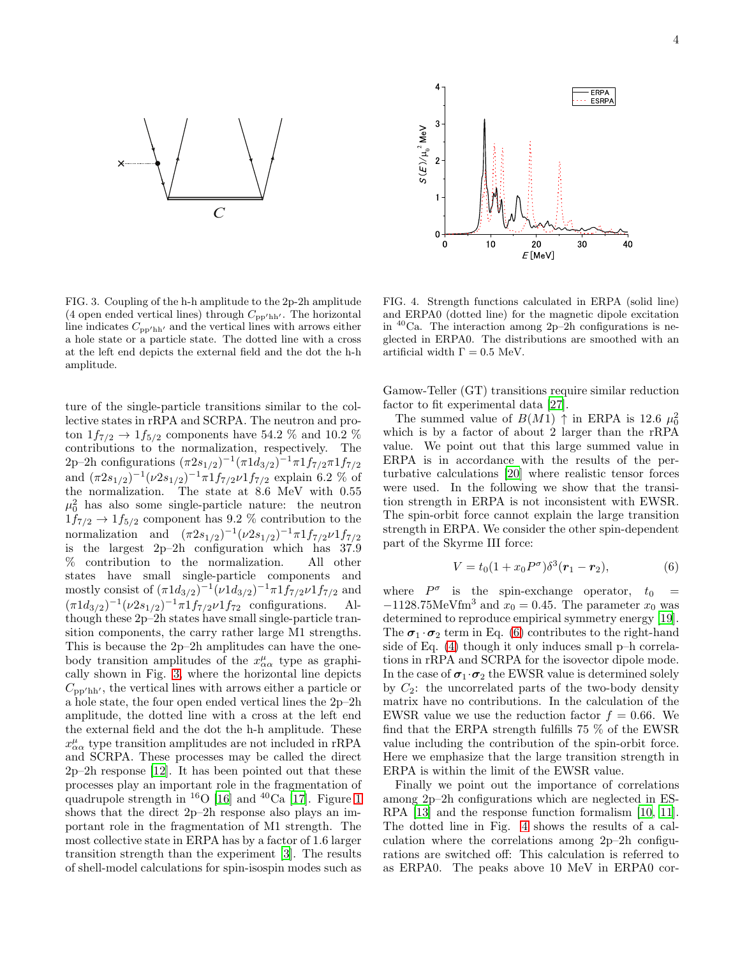



<span id="page-3-0"></span>FIG. 3. Coupling of the h-h amplitude to the 2p-2h amplitude (4 open ended vertical lines) through  $C_{\text{pp}/\text{hh}}$ . The horizontal line indicates  $C_{\text{pp}/\text{hh}'}$  and the vertical lines with arrows either a hole state or a particle state. The dotted line with a cross at the left end depicts the external field and the dot the h-h amplitude.

ture of the single-particle transitions similar to the collective states in rRPA and SCRPA. The neutron and proton  $1f_{7/2} \to 1f_{5/2}$  components have 54.2 % and 10.2 % contributions to the normalization, respectively. The 2p–2h configurations  $(\pi 2s_{1/2})^{-1}(\pi 1d_{3/2})^{-1}\pi 1f_{7/2}\pi 1f_{7/2}$ and  $(\pi 2s_{1/2})^{-1}(\nu 2s_{1/2})^{-1}\pi 1f_{7/2}\nu 1f_{7/2}$  explain 6.2 % of the normalization. The state at 8.6 MeV with 0.55  $\mu_0^2$  has also some single-particle nature: the neutron  $1f_{7/2} \rightarrow 1f_{5/2}$  component has 9.2 % contribution to the normalization and  $(\pi 2s_{1/2})^{-1}(\nu 2s_{1/2})^{-1}\pi 1f_{7/2}\nu 1f_{7/2}$ is the largest 2p–2h configuration which has 37.9 % contribution to the normalization. All other states have small single-particle components and mostly consist of  $(\pi 1d_{3/2})^{-1}(\nu 1d_{3/2})^{-1}\pi 1f_{7/2}\nu 1f_{7/2}$  and  $(\pi 1d_{3/2})^{-1}(\nu 2s_{1/2})^{-1}\pi 1f_{7/2}\nu 1f_{72}$  configurations. Although these 2p–2h states have small single-particle transition components, the carry rather large M1 strengths. This is because the 2p–2h amplitudes can have the onebody transition amplitudes of the  $x^{\mu}_{\alpha\alpha}$  type as graphically shown in Fig. [3,](#page-3-0) where the horizontal line depicts  $C_{\text{pp}/\text{hh}'}$ , the vertical lines with arrows either a particle or a hole state, the four open ended vertical lines the 2p–2h amplitude, the dotted line with a cross at the left end the external field and the dot the h-h amplitude. These  $x^{\mu}_{\alpha\alpha}$  type transition amplitudes are not included in rRPA and SCRPA. These processes may be called the direct 2p–2h response [\[12\]](#page-4-11). It has been pointed out that these processes play an important role in the fragmentation of quadrupole strength in <sup>16</sup>O [\[16\]](#page-4-15) and <sup>40</sup>Ca [\[17](#page-4-16)]. Figure [1](#page-1-1) shows that the direct 2p–2h response also plays an important role in the fragmentation of M1 strength. The most collective state in ERPA has by a factor of 1.6 larger transition strength than the experiment [\[3\]](#page-4-2). The results of shell-model calculations for spin-isospin modes such as

<span id="page-3-2"></span>FIG. 4. Strength functions calculated in ERPA (solid line) and ERPA0 (dotted line) for the magnetic dipole excitation in  $40$ Ca. The interaction among 2p–2h configurations is neglected in ERPA0. The distributions are smoothed with an artificial width  $\Gamma = 0.5$  MeV.

Gamow-Teller (GT) transitions require similar reduction factor to fit experimental data [\[27](#page-4-26)].

The summed value of  $B(M1) \uparrow$  in ERPA is 12.6  $\mu_0^2$ which is by a factor of about 2 larger than the rRPA value. We point out that this large summed value in ERPA is in accordance with the results of the perturbative calculations [\[20\]](#page-4-19) where realistic tensor forces were used. In the following we show that the transition strength in ERPA is not inconsistent with EWSR. The spin-orbit force cannot explain the large transition strength in ERPA. We consider the other spin-dependent part of the Skyrme III force:

<span id="page-3-1"></span>
$$
V = t_0 (1 + x_0 P^{\sigma}) \delta^3(\mathbf{r}_1 - \mathbf{r}_2), \tag{6}
$$

where  $P^{\sigma}$  is the spin-exchange operator,  $t_0 =$  $-1128.75$ MeVfm<sup>3</sup> and  $x_0 = 0.45$ . The parameter  $x_0$  was determined to reproduce empirical symmetry energy [\[19\]](#page-4-18). The  $\sigma_1 \cdot \sigma_2$  term in Eq. [\(6\)](#page-3-1) contributes to the right-hand side of Eq. [\(4\)](#page-2-1) though it only induces small p–h correlations in rRPA and SCRPA for the isovector dipole mode. In the case of  $\sigma_1 \cdot \sigma_2$  the EWSR value is determined solely by  $C_2$ : the uncorrelated parts of the two-body density matrix have no contributions. In the calculation of the EWSR value we use the reduction factor  $f = 0.66$ . We find that the ERPA strength fulfills 75 % of the EWSR value including the contribution of the spin-orbit force. Here we emphasize that the large transition strength in ERPA is within the limit of the EWSR value.

Finally we point out the importance of correlations among 2p–2h configurations which are neglected in ES-RPA [\[13\]](#page-4-12) and the response function formalism [\[10,](#page-4-9) [11\]](#page-4-10). The dotted line in Fig. [4](#page-3-2) shows the results of a calculation where the correlations among 2p–2h configurations are switched off: This calculation is referred to as ERPA0. The peaks above 10 MeV in ERPA0 cor